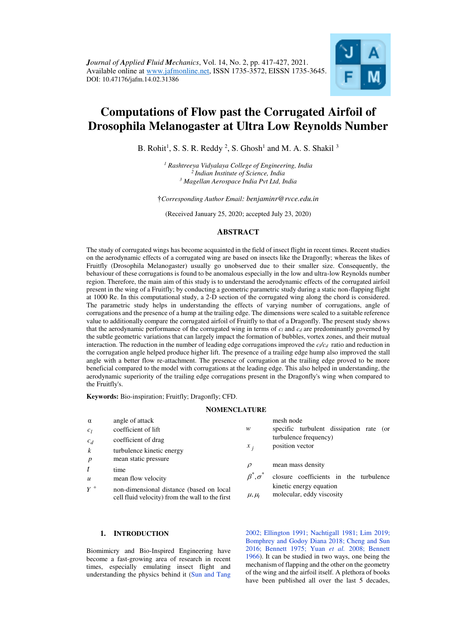

# **Computations of Flow past the Corrugated Airfoil of Drosophila Melanogaster at Ultra Low Reynolds Number**

B. Rohit<sup>1</sup>, S. S. R. Reddy<sup>2</sup>, S. Ghosh<sup>1</sup> and M. A. S. Shakil<sup>3</sup>

*1 Rashtreeya Vidyalaya College of Engineering, India <sup>2</sup>Indian Institute of Science, India 3 Magellan Aerospace India Pvt Ltd, India* 

†*Corresponding Author Email: benjaminr@rvce.edu.in*

(Received January 25, 2020; accepted July 23, 2020)

# **ABSTRACT**

The study of corrugated wings has become acquainted in the field of insect flight in recent times. Recent studies on the aerodynamic effects of a corrugated wing are based on insects like the Dragonfly; whereas the likes of Fruitfly (Drosophila Melanogaster) usually go unobserved due to their smaller size. Consequently, the behaviour of these corrugations is found to be anomalous especially in the low and ultra-low Reynolds number region. Therefore, the main aim of this study is to understand the aerodynamic effects of the corrugated airfoil present in the wing of a Fruitfly; by conducting a geometric parametric study during a static non-flapping flight at 1000 Re. In this computational study, a 2-D section of the corrugated wing along the chord is considered. The parametric study helps in understanding the effects of varying number of corrugations, angle of corrugations and the presence of a hump at the trailing edge. The dimensions were scaled to a suitable reference value to additionally compare the corrugated airfoil of Fruitfly to that of a Dragonfly. The present study shows that the aerodynamic performance of the corrugated wing in terms of *cl* and *cd* are predominantly governed by the subtle geometric variations that can largely impact the formation of bubbles, vortex zones, and their mutual interaction. The reduction in the number of leading edge corrugations improved the  $c\ell c_d$  ratio and reduction in the corrugation angle helped produce higher lift. The presence of a trailing edge hump also improved the stall angle with a better flow re-attachment. The presence of corrugation at the trailing edge proved to be more beneficial compared to the model with corrugations at the leading edge. This also helped in understanding, the aerodynamic superiority of the trailing edge corrugations present in the Dragonfly's wing when compared to the Fruitfly's.

**Keywords:** Bio-inspiration; Fruitfly; Dragonfly; CFD.

## **NOMENCLATURE**

| $\alpha$         | angle of attack                                                                             |                     | mesh node                                            |
|------------------|---------------------------------------------------------------------------------------------|---------------------|------------------------------------------------------|
| c <sub>1</sub>   | coefficient of lift                                                                         | w                   | specific turbulent dissipation rate (or              |
| $c_d$            | coefficient of drag                                                                         |                     | turbulence frequency)                                |
| $\boldsymbol{k}$ | turbulence kinetic energy                                                                   | $x_i$               | position vector                                      |
| $\boldsymbol{p}$ | mean static pressure                                                                        |                     |                                                      |
| t                | time                                                                                        | $\rho$              | mean mass density                                    |
| $\boldsymbol{u}$ | mean flow velocity                                                                          | $\beta^*, \sigma^*$ | closure coefficients in the turbulence               |
| $Y^+$            | non-dimensional distance (based on local<br>cell fluid velocity) from the wall to the first | $\mu, \mu_t$        | kinetic energy equation<br>molecular, eddy viscosity |

## **1. INTRODUCTION**

Biomimicry and Bio-Inspired Engineering have become a fast-growing area of research in recent times, especially emulating insect flight and understanding the physics behind it [\(Sun and Tang](#page-10-0)  [2002;](#page-10-0) [Ellington 1991;](#page-9-0) [Nachtigall 198](#page-9-1)[1; Lim 2019;](#page-9-2) [Bomphrey and Godoy Diana 2018;](#page-9-3) [Cheng and Sun](#page-9-4)  [2016;](#page-9-4) [Bennett 1975;](#page-9-5) [Yuan](#page-10-1) *et al.* 2008; [Bennett](#page-9-5)  [1966\)](#page-9-5). It can be studied in two ways, one being the mechanism of flapping and the other on the geometry of the wing and the airfoil itself. A plethora of books have been published all over the last 5 decades,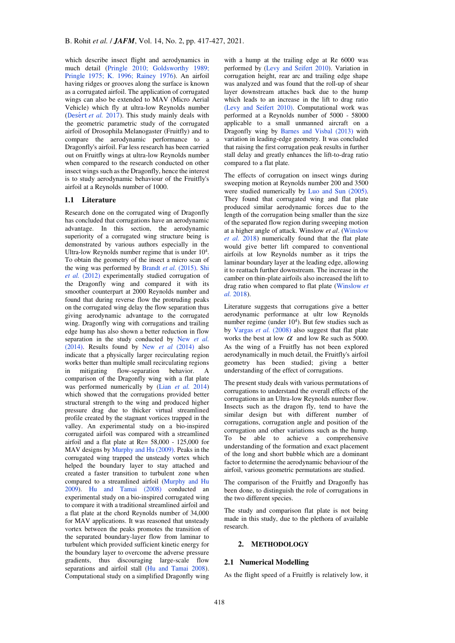which describe insect flight and aerodynamics in much detail [\(Pringle 2010;](#page-9-6) [Goldsworthy 1989;](#page-9-7)  [Pringle 1975;](#page-9-6) [K. 1996;](#page-9-8) [Rainey 1976\)](#page-10-2). An airfoil having ridges or grooves along the surface is known as a corrugated airfoil. The application of corrugated wings can also be extended to MAV (Micro Aerial Vehicle) which fly at ultra-low Reynolds number ([Desert](#page-9-9) *et al.* 2017). This study mainly deals with the geometric parametric study of the corrugated airfoil of Drosophila Melanogaster (Fruitfly) and to compare the aerodynamic performance to a Dragonfly's airfoil. Far less research has been carried out on Fruitfly wings at ultra-low Reynolds number when compared to the research conducted on other insect wings such as the Dragonfly, hence the interest is to study aerodynamic behaviour of the Fruitfly's airfoil at a Reynolds number of 1000.

## **1.1 Literature**

Research done on the corrugated wing of Dragonfly has concluded that corrugations have an aerodynamic advantage. In this section, the aerodynamic superiority of a corrugated wing structure being is demonstrated by various authors especially in the Ultra-low Reynolds number regime that is under  $10<sup>4</sup>$ . To obtain the geometry of the insect a micro scan of the wing was performed by [Brandt](#page-9-10) *et al.* (2015). [Shi](#page-10-3) *et al.* [\(2012\)](#page-10-3) experimentally studied corrugation of the Dragonfly wing and compared it with its smoother counterpart at 2000 Reynolds number and found that during reverse flow the protruding peaks on the corrugated wing delay the flow separation thus giving aerodynamic advantage to the corrugated wing. Dragonfly wing with corrugations and trailing edge hump has also shown a better reduction in flow separation in the study conducted by [New](#page-9-11) *et al.* [\(2014\)](#page-9-11). Results found by New *et al* [\(2014\)](#page-9-11) also indicate that a physically larger recirculating region works better than multiple small recirculating regions in mitigating flow-separation behavior. A comparison of the Dragonfly wing with a flat plate was performed numerically by (Lian *[et al.](#page-9-12)* 2014) which showed that the corrugations provided better structural strength to the wing and produced higher pressure drag due to thicker virtual streamlined profile created by the stagnant vortices trapped in the valley. An experimental study on a bio-inspired corrugated airfoil was compared with a streamlined airfoil and a flat plate at  $Re = 58,000 - 125,000$  for MAV designs b[y Murphy and Hu \(2009\)](#page-9-13). Peaks in the corrugated wing trapped the unsteady vortex which helped the boundary layer to stay attached and created a faster transition to turbulent zone when compared to a streamlined airfoil [\(Murphy and Hu](#page-9-13)  [2009\)](#page-9-13). [Hu and Tamai \(2008\)](#page-9-14) conducted an experimental study on a bio-inspired corrugated wing to compare it with a traditional streamlined airfoil and a flat plate at the chord Reynolds number of 34,000 for MAV applications. It was reasoned that unsteady vortex between the peaks promotes the transition of the separated boundary-layer flow from laminar to turbulent which provided sufficient kinetic energy for the boundary layer to overcome the adverse pressure gradients, thus discouraging large-scale flow separations and airfoil stall [\(Hu and Tamai 2008\)](#page-9-14). Computational study on a simplified Dragonfly wing

with a hump at the trailing edge at Re 6000 was performed by [\(Levy and Seifert 2010\).](#page-9-15) Variation in corrugation height, rear arc and trailing edge shape was analyzed and was found that the roll-up of shear layer downstream attaches back due to the hump which leads to an increase in the lift to drag ratio [\(Levy and Seifert 2010\).](#page-9-15) Computational work was performed at a Reynolds number of 5000 - 58000 applicable to a small unmanned aircraft on a Dragonfly wing by [Barnes and Visbal \(2013\)](#page-9-16) with variation in leading-edge geometry. It was concluded that raising the first corrugation peak results in further stall delay and greatly enhances the lift-to-drag ratio compared to a flat plate.

The effects of corrugation on insect wings during sweeping motion at Reynolds number 200 and 3500 were studied numerically by [Luo and Sun \(2005\)](#page-9-17). They found that corrugated wing and flat plate produced similar aerodynamic forces due to the length of the corrugation being smaller than the size of the separated flow region during sweeping motion at a higher angle of attack. Winslow *et al*. [\(Winslow](#page-10-4)  *et al.* [2018\)](#page-10-4) numerically found that the flat plate would give better lift compared to conventional airfoils at low Reynolds number as it trips the laminar boundary layer at the leading edge, allowing it to reattach further downstream. The increase in the camber on thin-plate airfoils also increased the lift to drag ratio when compared to flat plate [\(Winslow](#page-10-4) *et al.* [2018\)](#page-10-4).

Literature suggests that corrugations give a better aerodynamic performance at ultr low Reynolds number regime (under  $10<sup>4</sup>$ ). But few studies such as by [Vargas](#page-10-0) *et al.* (2008) also suggest that flat plate works the best at low  $\alpha$  and low Re such as 5000. As the wing of a Fruitfly has not been explored aerodynamically in much detail, the Fruitfly's airfoil geometry has been studied; giving a better understanding of the effect of corrugations.

The present study deals with various permutations of corrugations to understand the overall effects of the corrugations in an Ultra-low Reynolds number flow. Insects such as the dragon fly, tend to have the similar design but with different number of corrugations, corrugation angle and position of the corrugation and other variations such as the hump. To be able to achieve a comprehensive understanding of the formation and exact placement of the long and short bubble which are a dominant factor to determine the aerodynamic behaviour of the airfoil, various geometric permutations are studied.

The comparison of the Fruitfly and Dragonfly has been done, to distinguish the role of corrugations in the two different species.

The study and comparison flat plate is not being made in this study, due to the plethora of available research.

#### **2. METHODOLOGY**

#### **2.1 Numerical Modelling**

As the flight speed of a Fruitfly is relatively low, it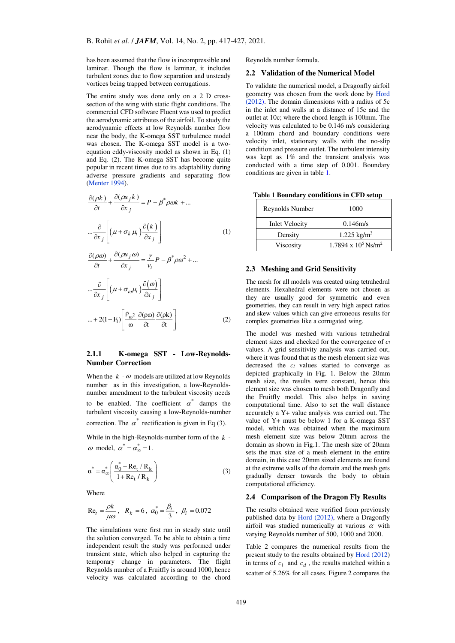has been assumed that the flow is incompressible and laminar. Though the flow is laminar, it includes turbulent zones due to flow separation and unsteady vortices being trapped between corrugations.

The entire study was done only on a 2 D crosssection of the wing with static flight conditions. The commercial CFD software Fluent was used to predict the aerodynamic attributes of the airfoil. To study the aerodynamic effects at low Reynolds number flow near the body, the K-omega SST turbulence model was chosen. The K-omega SST model is a twoequation eddy-viscosity model as shown in Eq. (1) and Eq. (2). The K-omega SST has become quite popular in recent times due to its adaptability during adverse pressure gradients and separating flow [\(Menter 1994\)](#page-9-18).

$$
\frac{\partial(\rho k)}{\partial t} + \frac{\partial(\rho u_j k)}{\partial x_j} = P - \beta^* \rho \omega k + \dots
$$

$$
\dots \frac{\partial}{\partial x_j} \left[ \left( \mu + \sigma_k \mu_l \right) \frac{\partial(k)}{\partial x_j} \right] \tag{1}
$$

$$
\frac{\partial(\rho\omega)}{\partial t} + \frac{\partial(\rho u_j \omega)}{\partial x_j} = \frac{\gamma}{v_t} P - \beta^* \rho \omega^2 + \dots
$$

$$
\frac{\partial}{\partial x_j} \left[ \left( \mu + \sigma_{\omega} \mu_t \right) \frac{\partial(\omega)}{\partial x_j} \right]
$$

$$
\frac{\partial}{\partial x_j} = \frac{\partial(\rho\omega)}{\partial x_j} \frac{\partial(\rho\omega)}{\partial x_j} \frac{\partial(\rho\omega)}{\partial x_k} \frac{\partial(\rho\omega)}{\partial x_k} \frac{\partial(\rho\omega)}{\partial x_k} \frac{\partial(\rho\omega)}{\partial x_k} \frac{\partial(\rho\omega)}{\partial x_k} \frac{\partial(\rho\omega)}{\partial x_k} \frac{\partial(\rho\omega)}{\partial x_k} \frac{\partial(\rho\omega)}{\partial x_k} \frac{\partial(\rho\omega)}{\partial x_k} \frac{\partial(\rho\omega)}{\partial x_k} \frac{\partial(\rho\omega)}{\partial x_k} \frac{\partial(\rho\omega)}{\partial x_k} \frac{\partial(\rho\omega)}{\partial x_k} \frac{\partial(\rho\omega)}{\partial x_k} \frac{\partial(\rho\omega)}{\partial x_k} \frac{\partial(\rho\omega)}{\partial x_k} \frac{\partial(\rho\omega)}{\partial x_k} \frac{\partial(\rho\omega)}{\partial x_k} \frac{\partial(\rho\omega)}{\partial x_k} \frac{\partial(\rho\omega)}{\partial x_k} \frac{\partial(\rho\omega)}{\partial x_k} \frac{\partial(\rho\omega)}{\partial x_k} \frac{\partial(\rho\omega)}{\partial x_k} \frac{\partial(\rho\omega)}{\partial x_k} \frac{\partial(\rho\omega)}{\partial x_k} \frac{\partial(\rho\omega)}{\partial x_k} \frac{\partial(\rho\omega)}{\partial x_k} \frac{\partial(\rho\omega)}{\partial x_k} \frac{\partial(\rho\omega)}{\partial x_k} \frac{\partial(\rho\omega)}{\partial x_k} \frac{\partial(\rho\omega)}{\partial x_k} \frac{\partial(\rho\omega)}{\partial x_k} \frac{\partial(\rho\omega)}{\partial x_k} \frac{\partial(\rho\omega)}{\partial x_k} \frac{\partial(\rho\omega)}{\partial x_k} \frac{\partial(\rho\omega)}{\partial x_k} \frac{\partial(\rho\omega)}{\partial x_k} \frac{\partial(\rho\omega)}{\partial x_k} \frac{\partial(\rho\omega)}{\partial x_k} \frac{\partial(\rho\omega)}{\partial x_k} \frac{\partial(\rho\omega)}{\partial x_k} \frac{\partial(\rho\omega)}{\partial x_k} \frac{\partial(\rho\omega)}{\partial x_k} \frac{\partial(\rho
$$

## **2.1.1 K-omega SST - Low-Reynolds-Number Correction**

When the  $k - \omega$  models are utilized at low Reynolds number as in this investigation, a low-Reynoldsnumber amendment to the turbulent viscosity needs to be enabled. The coefficient  $\alpha^*$  damps the turbulent viscosity causing a low-Reynolds-number correction. The  $\alpha^*$  rectification is given in Eq (3).

While in the high-Reynolds-number form of the *k* -  $\omega$  model,  $\alpha^* = \alpha^*_{\infty} = 1$ .

$$
\alpha^* = \alpha_{\infty}^* \left( \frac{\alpha_0^* + \text{Re}_t / \text{R}_k}{1 + \text{Re}_t / \text{R}_k} \right)
$$
(3)

Where

Re<sub>t</sub> = 
$$
\frac{\rho k}{\mu \omega}
$$
,  $R_k = 6$ ,  $\alpha_0^* = \frac{\beta_i}{3}$ ,  $\beta_i = 0.072$ 

The simulations were first run in steady state until the solution converged. To be able to obtain a time independent result the study was performed under transient state, which also helped in capturing the temporary change in parameters. The flight Reynolds number of a Fruitfly is around 1000, hence velocity was calculated according to the chord

Reynolds number formula.

### **2.2 Validation of the Numerical Model**

To validate the numerical model, a Dragonfly airfoil geometry was chosen from the work done by [Hord](#page-9-7)  [\(2012\)](#page-9-7). The domain dimensions with a radius of 5c in the inlet and walls at a distance of 15c and the outlet at 10c; where the chord length is 100mm. The velocity was calculated to be 0.146 m/s considering a 100mm chord and boundary conditions were velocity inlet, stationary walls with the no-slip condition and pressure outlet. The turbulent intensity was kept as 1% and the transient analysis was conducted with a time step of 0.001. Boundary conditions are given in table 1.

**Table 1 Boundary conditions in CFD setup** 

| Reynolds Number       | 1000                                   |
|-----------------------|----------------------------------------|
| <b>Inlet Velocity</b> | 0.146m/s                               |
| Density               | $1.225 \text{ kg/m}^3$                 |
| Viscosity             | $1.7894 \times 10^5$ Ns/m <sup>2</sup> |

#### **2.3 Meshing and Grid Sensitivity**

The mesh for all models was created using tetrahedral elements. Hexahedral elements were not chosen as they are usually good for symmetric and even geometries, they can result in very high aspect ratios and skew values which can give erroneous results for complex geometries like a corrugated wing.

The model was meshed with various tetrahedral element sizes and checked for the convergence of *c<sup>l</sup>* values. A grid sensitivity analysis was carried out, where it was found that as the mesh element size was decreased the *cl* values started to converge as depicted graphically in Fig. 1. Below the 20mm mesh size, the results were constant, hence this element size was chosen to mesh both Dragonfly and the Fruitfly model. This also helps in saving computational time. Also to set the wall distance accurately a Y+ value analysis was carried out. The value of Y+ must be below 1 for a K-omega SST model, which was obtained when the maximum mesh element size was below 20mm across the domain as shown in Fig.1. The mesh size of 20mm sets the max size of a mesh element in the entire domain, in this case 20mm sized elements are found at the extreme walls of the domain and the mesh gets gradually denser towards the body to obtain computational efficiency.

## **2.4 Comparison of the Dragon Fly Results**

The results obtained were verified from previously published data by [Hord \(2012\)](#page-9-7), where a Dragonfly airfoil was studied numerically at various  $\alpha$  with varying Reynolds number of 500, 1000 and 2000.

Table 2 compares the numerical results from the present study to the results obtained by [Hord \(2012\)](#page-9-7) in terms of  $c_l$  and  $c_d$ , the results matched within a scatter of 5.26% for all cases. Figure 2 compares the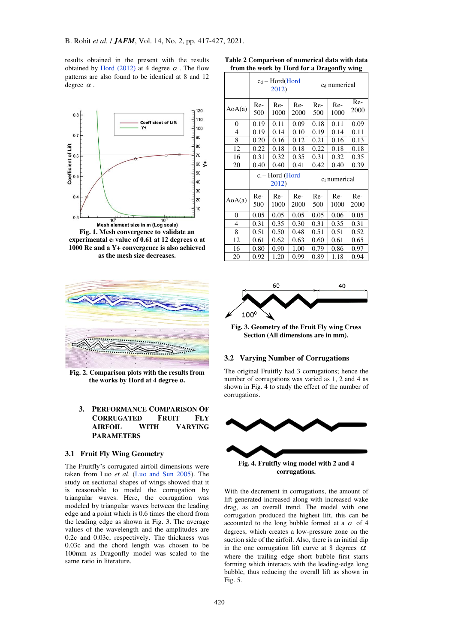results obtained in the present with the results obtained by [Hord \(2012\)](#page-9-7) at 4 degree  $\alpha$ . The flow patterns are also found to be identical at 8 and 12 degree  $\alpha$ .



**experimental c<sup>l</sup> value of 0.61 at 12 degrees α at 1000 Re and a Y+ convergence is also achieved as the mesh size decreases.** 



**Fig. 2. Comparison plots with the results from the works by Hord at 4 degree α.**

# **3. PERFORMANCE COMPARISON OF CORRUGATED FRUIT FLY AIRFOIL WITH VARYING PARAMETERS**

## **3.1 Fruit Fly Wing Geometry**

The Fruitfly's corrugated airfoil dimensions were taken from Luo *et al*. [\(Luo and Sun 2005\)](#page-9-17). The study on sectional shapes of wings showed that it is reasonable to model the corrugation by triangular waves. Here, the corrugation was modeled by triangular waves between the leading edge and a point which is 0.6 times the chord from the leading edge as shown in Fig. 3. The average values of the wavelength and the amplitudes are 0.2c and 0.03c, respectively. The thickness was 0.03c and the chord length was chosen to be 100mm as Dragonfly model was scaled to the same ratio in literature.

|                | $c_d - Hord(Hord)$<br>2012) |               |              | C <sub>d</sub> numerical |             |             |
|----------------|-----------------------------|---------------|--------------|--------------------------|-------------|-------------|
| AoA(a)         | Re-<br>500                  | $Re-$<br>1000 | Re-<br>2000  | Re-<br>500               | Re-<br>1000 | Re-<br>2000 |
| $\overline{0}$ | 0.19                        | 0.11          | 0.09         | 0.18                     | 0.11        | 0.09        |
| 4              | 0.19                        | 0.14          | 0.10         | 0.19                     | 0.14        | 0.11        |
| 8              | 0.20                        | 0.16          | 0.12         | 0.21                     | 0.16        | 0.13        |
| 12             | 0.22                        | 0.18          | 0.18         | 0.22                     | 0.18        | 0.18        |
| 16             | 0.31                        | 0.32          | 0.35         | 0.31                     | 0.32        | 0.35        |
| 20             | 0.40                        | 0.40          | 0.41         | 0.42                     | 0.40        | 0.39        |
|                | $cl$ – Hord (Hord<br>2012)  |               | ci numerical |                          |             |             |
| AoA(a)         | Re-<br>500                  | $Re-$<br>1000 | Re-<br>2000  | Re-<br>500               | Re-<br>1000 | Re-<br>2000 |
| 0              | 0.05                        | 0.05          | 0.05         | 0.05                     | 0.06        | 0.05        |
| $\overline{4}$ | 0.31                        | 0.35          | 0.30         | 0.31                     | 0.35        | 0.31        |
| 8              |                             |               |              |                          |             |             |
|                | 0.51                        | 0.50          | 0.48         | 0.51                     | 0.51        | 0.52        |
| 12             | 0.61                        | 0.62          | 0.63         | 0.60                     | 0.61        | 0.65        |
| 16             | 0.80                        | 0.90          | 1.00         | 0.79                     | 0.86        | 0.97        |

**Table 2 Comparison of numerical data with data from the work by Hord for a Dragonfly wing** 



**Fig. 3. Geometry of the Fruit Fly wing Cross Section (All dimensions are in mm).** 

# **3.2 Varying Number of Corrugations**

The original Fruitfly had 3 corrugations; hence the number of corrugations was varied as 1, 2 and 4 as shown in Fig. 4 to study the effect of the number of corrugations.



**corrugations.** 

With the decrement in corrugations, the amount of lift generated increased along with increased wake drag, as an overall trend. The model with one corrugation produced the highest lift, this can be accounted to the long bubble formed at a  $\alpha$  of 4 degrees, which creates a low-pressure zone on the suction side of the airfoil. Also, there is an initial dip in the one corrugation lift curve at 8 degrees  $\alpha$ where the trailing edge short bubble first starts forming which interacts with the leading-edge long bubble, thus reducing the overall lift as shown in Fig. 5.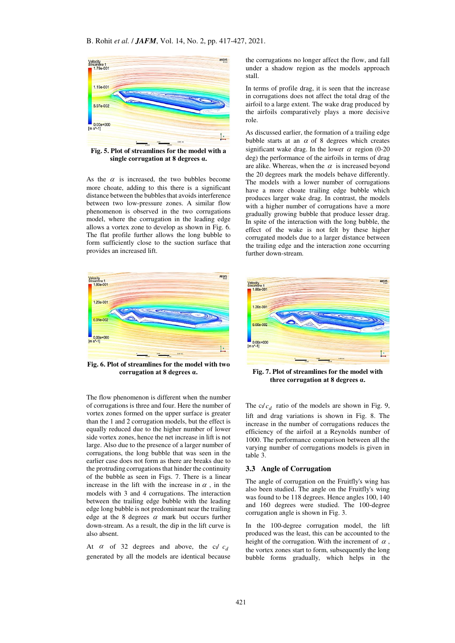

**Fig. 5. Plot of streamlines for the model with a single corrugation at 8 degrees α.**

As the  $\alpha$  is increased, the two bubbles become more choate, adding to this there is a significant distance between the bubbles that avoids interference between two low-pressure zones. A similar flow phenomenon is observed in the two corrugations model, where the corrugation in the leading edge allows a vortex zone to develop as shown in Fig. 6. The flat profile further allows the long bubble to form sufficiently close to the suction surface that provides an increased lift.



**Fig. 6. Plot of streamlines for the model with two corrugation at 8 degrees α.** 

The flow phenomenon is different when the number of corrugations is three and four. Here the number of vortex zones formed on the upper surface is greater than the 1 and 2 corrugation models, but the effect is equally reduced due to the higher number of lower side vortex zones, hence the net increase in lift is not large. Also due to the presence of a larger number of corrugations, the long bubble that was seen in the earlier case does not form as there are breaks due to the protruding corrugations that hinder the continuity of the bubble as seen in Figs. 7. There is a linear increase in the lift with the increase in  $\alpha$ , in the models with 3 and 4 corrugations. The interaction between the trailing edge bubble with the leading edge long bubble is not predominant near the trailing edge at the 8 degrees  $\alpha$  mark but occurs further down-stream. As a result, the dip in the lift curve is also absent.

At  $\alpha$  of 32 degrees and above, the c<sub>l</sub>  $c_d$ generated by all the models are identical because the corrugations no longer affect the flow, and fall under a shadow region as the models approach stall.

In terms of profile drag, it is seen that the increase in corrugations does not affect the total drag of the airfoil to a large extent. The wake drag produced by the airfoils comparatively plays a more decisive role.

As discussed earlier, the formation of a trailing edge bubble starts at an  $\alpha$  of 8 degrees which creates significant wake drag. In the lower  $\alpha$  region (0-20 deg) the performance of the airfoils in terms of drag are alike. Whereas, when the  $\alpha$  is increased beyond the 20 degrees mark the models behave differently. The models with a lower number of corrugations have a more choate trailing edge bubble which produces larger wake drag. In contrast, the models with a higher number of corrugations have a more gradually growing bubble that produce lesser drag. In spite of the interaction with the long bubble, the effect of the wake is not felt by these higher corrugated models due to a larger distance between the trailing edge and the interaction zone occurring further down-stream.



**Fig. 7. Plot of streamlines for the model with three corrugation at 8 degrees α.**

The  $c/c_d$  ratio of the models are shown in Fig. 9, lift and drag variations is shown in Fig. 8. The increase in the number of corrugations reduces the efficiency of the airfoil at a Reynolds number of 1000. The performance comparison between all the varying number of corrugations models is given in table 3.

#### **3.3 Angle of Corrugation**

The angle of corrugation on the Fruitfly's wing has also been studied. The angle on the Fruitfly's wing was found to be 118 degrees. Hence angles 100, 140 and 160 degrees were studied. The 100-degree corrugation angle is shown in Fig. 3.

In the 100-degree corrugation model, the lift produced was the least, this can be accounted to the height of the corrugation. With the increment of  $\alpha$ , the vortex zones start to form, subsequently the long bubble forms gradually, which helps in the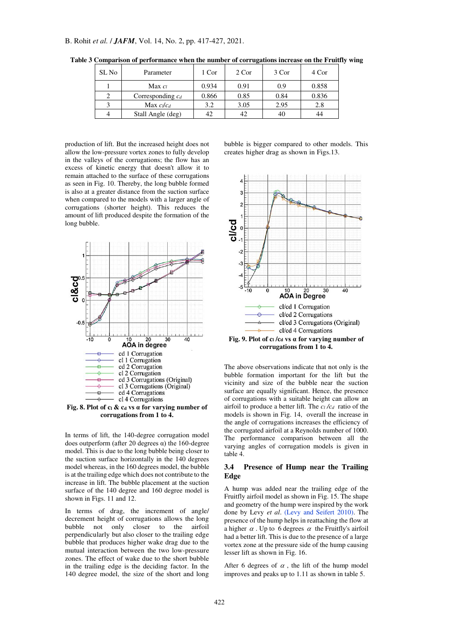| SL No | Parameter           | 1 Cor | 2 Cor | 3 Cor | 4 Cor |
|-------|---------------------|-------|-------|-------|-------|
|       | $Max c_l$           | 0.934 | 0.91  | 0.9   | 0.858 |
|       | Corresponding $c_d$ | 0.866 | 0.85  | 0.84  | 0.836 |
|       | Max $c_l/c_d$       | 3.2   | 3.05  | 2.95  | 2.8   |
|       | Stall Angle (deg)   | 42    |       | 40    | 44    |

**Table 3 Comparison of performance when the number of corrugations increase on the Fruitfly wing** 

production of lift. But the increased height does not allow the low-pressure vortex zones to fully develop in the valleys of the corrugations; the flow has an excess of kinetic energy that doesn't allow it to remain attached to the surface of these corrugations as seen in Fig. 10. Thereby, the long bubble formed is also at a greater distance from the suction surface when compared to the models with a larger angle of corrugations (shorter height). This reduces the amount of lift produced despite the formation of the long bubble.



**Fig. 8. Plot of cl & c<sup>d</sup> vs α for varying number of corrugations from 1 to 4.** 

In terms of lift, the 140-degree corrugation model does outperform (after 20 degrees α) the 160-degree model. This is due to the long bubble being closer to the suction surface horizontally in the 140 degrees model whereas, in the 160 degrees model, the bubble is at the trailing edge which does not contribute to the increase in lift. The bubble placement at the suction surface of the 140 degree and 160 degree model is shown in Figs. 11 and 12.

In terms of drag, the increment of angle/ decrement height of corrugations allows the long bubble not only closer to the airfoil perpendicularly but also closer to the trailing edge bubble that produces higher wake drag due to the mutual interaction between the two low-pressure zones. The effect of wake due to the short bubble in the trailing edge is the deciding factor. In the 140 degree model, the size of the short and long

bubble is bigger compared to other models. This creates higher drag as shown in Figs.13.



**Fig. 9. Plot of c<sup>l</sup> /c<sup>d</sup> vs α for varying number of corrugations from 1 to 4.** 

The above observations indicate that not only is the bubble formation important for the lift but the vicinity and size of the bubble near the suction surface are equally significant. Hence, the presence of corrugations with a suitable height can allow an airfoil to produce a better lift. The  $c_l/c_d$  ratio of the models is shown in Fig. 14, overall the increase in the angle of corrugations increases the efficiency of the corrugated airfoil at a Reynolds number of 1000. The performance comparison between all the varying angles of corrugation models is given in table 4.

## **3.4 Presence of Hump near the Trailing Edge**

A hump was added near the trailing edge of the Fruitfly airfoil model as shown in Fig. 15. The shape and geometry of the hump were inspired by the work done by Levy *et al*. [\(Levy and Seifert 2010\).](#page-9-15) The presence of the hump helps in reattaching the flow at a higher  $\alpha$ . Up to 6 degrees  $\alpha$  the Fruitfly's airfoil had a better lift. This is due to the presence of a large vortex zone at the pressure side of the hump causing lesser lift as shown in Fig. 16.

After 6 degrees of  $\alpha$ , the lift of the hump model improves and peaks up to 1.11 as shown in table 5.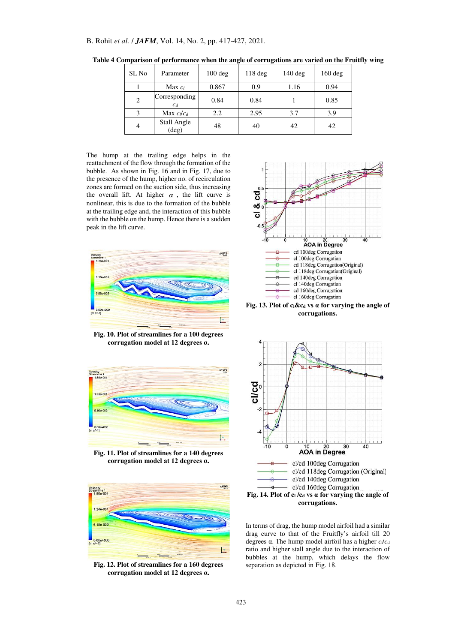| SL No | Parameter                     | $100 \text{ deg}$ | $118$ deg | $140 \text{ deg}$ | $160 \text{ deg}$ |
|-------|-------------------------------|-------------------|-----------|-------------------|-------------------|
|       | Max <sub>cl</sub>             | 0.867             | 0.9       | 1.16              | 0.94              |
| 2     | Corresponding<br>$c_d$        | 0.84              | 0.84      |                   | 0.85              |
|       | Max $c_l/c_d$                 | 2.2               | 2.95      | 3.7               | 3.9               |
| 4     | Stall Angle<br>$(\text{deg})$ | 48                | 40        | 42                | 42                |

**Table 4 Comparison of performance when the angle of corrugations are varied on the Fruitfly wing** 

The hump at the trailing edge helps in the reattachment of the flow through the formation of the bubble. As shown in Fig. 16 and in Fig. 17, due to the presence of the hump, higher no. of recirculation zones are formed on the suction side, thus increasing the overall lift. At higher  $\alpha$ , the lift curve is nonlinear, this is due to the formation of the bubble at the trailing edge and, the interaction of this bubble with the bubble on the hump. Hence there is a sudden peak in the lift curve.



**Fig. 10. Plot of streamlines for a 100 degrees corrugation model at 12 degrees α.** 



**Fig. 11. Plot of streamlines for a 140 degrees corrugation model at 12 degrees α.**



**Fig. 12. Plot of streamlines for a 160 degrees corrugation model at 12 degrees α.**



**Fig. 13. Plot of cl&c<sup>d</sup> vs α for varying the angle of corrugations.** 



In terms of drag, the hump model airfoil had a similar drag curve to that of the Fruitfly's airfoil till 20 degrees α. The hump model airfoil has a higher  $c_1/c_d$ ratio and higher stall angle due to the interaction of bubbles at the hump, which delays the flow separation as depicted in Fig. 18.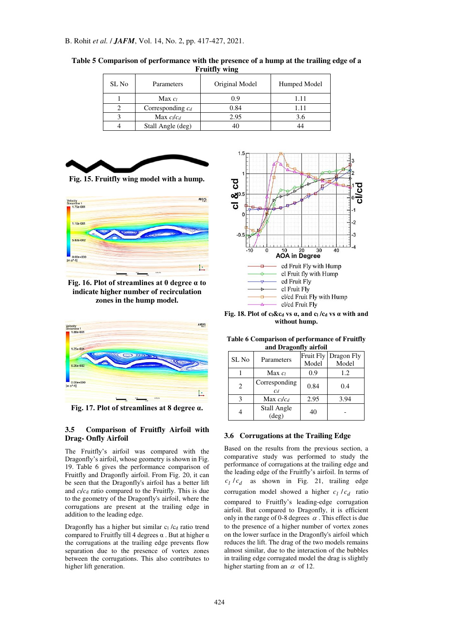| SL No | Parameters          | Original Model | Humped Model |
|-------|---------------------|----------------|--------------|
|       | Max $c_l$           | 0.9            | 1.11         |
|       | Corresponding $c_d$ | 0.84           |              |
|       | Max $c_l/c_d$       | 2.95           | 3.6          |
|       | Stall Angle (deg)   |                |              |

**Table 5 Comparison of performance with the presence of a hump at the trailing edge of a Fruitfly wing** 



**Fig. 15. Fruitfly wing model with a hump.** 



**Fig. 16. Plot of streamlines at 0 degree α to indicate higher number of recirculation zones in the hump model.** 



**Fig. 17. Plot of streamlines at 8 degree α.**

# **3.5 Comparison of Fruitfly Airfoil with Drag- Onfly Airfoil**

The Fruitfly's airfoil was compared with the Dragonfly's airfoil, whose geometry is shown in Fig. 19. Table 6 gives the performance comparison of Fruitfly and Dragonfly airfoil. From Fig. 20, it can be seen that the Dragonfly's airfoil has a better lift and  $c/c_d$  ratio compared to the Fruitfly. This is due to the geometry of the Dragonfly's airfoil, where the corrugations are present at the trailing edge in addition to the leading edge.

Dragonfly has a higher but similar  $c_1/c_d$  ratio trend compared to Fruitfly till 4 degrees  $\alpha$ . But at higher  $\alpha$ the corrugations at the trailing edge prevents flow separation due to the presence of vortex zones between the corrugations. This also contributes to higher lift generation.



**Fig. 18. Plot of cl&c<sup>d</sup> vs α, and c<sup>l</sup> /c<sup>d</sup> vs α with and without hump.** 

**Table 6 Comparison of performance of Fruitfly and Dragonfly airfoil** 

| SL No | Parameters                    | Fruit Fly<br>Model | Dragon Fly<br>Model |
|-------|-------------------------------|--------------------|---------------------|
|       | Max <sub>cl</sub>             | 0.9                | 1.2                 |
| 2     | Corresponding<br>$C_d$        | 0.84               | 0.4                 |
|       | Max $c_l/c_d$                 | 2.95               | 3.94                |
|       | Stall Angle<br>$(\text{deg})$ | 40                 |                     |

# **3.6 Corrugations at the Trailing Edge**

Based on the results from the previous section, a comparative study was performed to study the performance of corrugations at the trailing edge and the leading edge of the Fruitfly's airfoil. In terms of  $c_l/c_d$  as shown in Fig. 21, trailing edge corrugation model showed a higher  $c_l / c_d$  ratio compared to Fruitfly's leading-edge corrugation airfoil. But compared to Dragonfly, it is efficient only in the range of 0-8 degrees  $\alpha$ . This effect is due to the presence of a higher number of vortex zones on the lower surface in the Dragonfly's airfoil which reduces the lift. The drag of the two models remains almost similar, due to the interaction of the bubbles in trailing edge corrugated model the drag is slightly higher starting from an  $\alpha$  of 12.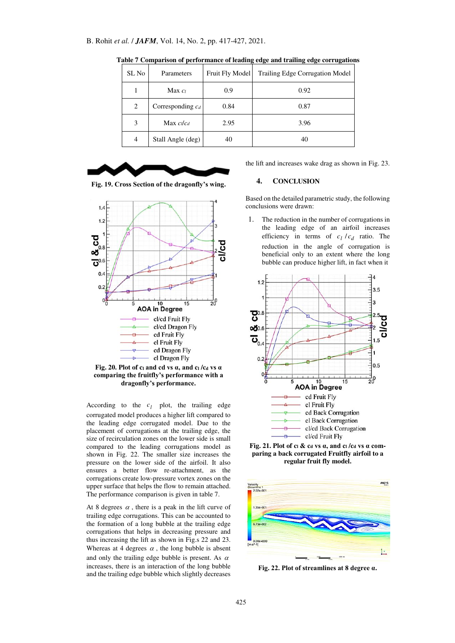| SL No | Parameters          | Fruit Fly Model | <b>Trailing Edge Corrugation Model</b> |
|-------|---------------------|-----------------|----------------------------------------|
|       | Max $c_l$           | 0.9             | 0.92                                   |
| 2     | Corresponding $c_d$ | 0.84            | 0.87                                   |
| 3     | Max $c_l/c_d$       | 2.95            | 3.96                                   |
| 4     | Stall Angle (deg)   | 40              | 40                                     |

**Table 7 Comparison of performance of leading edge and trailing edge corrugations** 



**Fig. 19. Cross Section of the dragonfly's wing.** 



**Fig. 20. Plot of c<sup>l</sup> and cd vs α, and c<sup>l</sup> /c<sup>d</sup> vs α comparing the fruitfly's performance with a dragonfly's performance.** 

According to the  $c_l$  plot, the trailing edge corrugated model produces a higher lift compared to the leading edge corrugated model. Due to the placement of corrugations at the trailing edge, the size of recirculation zones on the lower side is small compared to the leading corrugations model as shown in Fig. 22. The smaller size increases the pressure on the lower side of the airfoil. It also ensures a better flow re-attachment, as the corrugations create low-pressure vortex zones on the upper surface that helps the flow to remain attached. The performance comparison is given in table 7.

At 8 degrees  $\alpha$ , there is a peak in the lift curve of trailing edge corrugations. This can be accounted to the formation of a long bubble at the trailing edge corrugations that helps in decreasing pressure and thus increasing the lift as shown in Fig.s 22 and 23. Whereas at 4 degrees  $\alpha$ , the long bubble is absent and only the trailing edge bubble is present. As  $\alpha$ increases, there is an interaction of the long bubble and the trailing edge bubble which slightly decreases

the lift and increases wake drag as shown in Fig. 23.

# **4. CONCLUSION**

Based on the detailed parametric study, the following conclusions were drawn:

1. The reduction in the number of corrugations in the leading edge of an airfoil increases efficiency in terms of  $c_l / c_d$  ratio. The reduction in the angle of corrugation is beneficial only to an extent where the long bubble can produce higher lift, in fact when it







**Fig. 22. Plot of streamlines at 8 degree α.**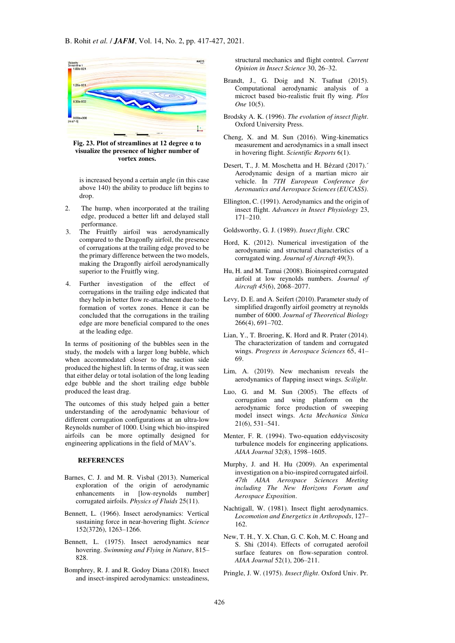

**Fig. 23. Plot of streamlines at 12 degree α to visualize the presence of higher number of vortex zones.** 

is increased beyond a certain angle (in this case above 140) the ability to produce lift begins to drop.

- 2. The hump, when incorporated at the trailing edge, produced a better lift and delayed stall performance.
- 3. The Fruitfly airfoil was aerodynamically compared to the Dragonfly airfoil, the presence of corrugations at the trailing edge proved to be the primary difference between the two models, making the Dragonfly airfoil aerodynamically superior to the Fruitfly wing.
- 4. Further investigation of the effect of corrugations in the trailing edge indicated that they help in better flow re-attachment due to the formation of vortex zones. Hence it can be concluded that the corrugations in the trailing edge are more beneficial compared to the ones at the leading edge.

In terms of positioning of the bubbles seen in the study, the models with a larger long bubble, which when accommodated closer to the suction side produced the highest lift. In terms of drag, it was seen that either delay or total isolation of the long leading edge bubble and the short trailing edge bubble produced the least drag.

The outcomes of this study helped gain a better understanding of the aerodynamic behaviour of different corrugation configurations at an ultra-low Reynolds number of 1000. Using which bio-inspired airfoils can be more optimally designed for engineering applications in the field of MAV's.

#### **REFERENCES**

- <span id="page-9-16"></span>Barnes, C. J. and M. R. Visbal (2013). Numerical exploration of the origin of aerodynamic enhancements in [low-reynolds number] corrugated airfoils. *Physics of Fluids* 25(11).
- <span id="page-9-5"></span>Bennett, L. (1966). Insect aerodynamics: Vertical sustaining force in near-hovering flight. *Science*  152(3726), 1263–1266.
- Bennett, L. (1975). Insect aerodynamics near hovering. *Swimming and Flying in Nature*, 815– 828.
- <span id="page-9-3"></span>Bomphrey, R. J. and R. Godoy Diana (2018). Insect and insect-inspired aerodynamics: unsteadiness,

structural mechanics and flight control. *Current Opinion in Insect Science* 30, 26–32.

- <span id="page-9-10"></span>Brandt, J., G. Doig and N. Tsafnat (2015). Computational aerodynamic analysis of a microct based bio-realistic fruit fly wing. *Plos One* 10(5).
- <span id="page-9-8"></span>Brodsky A. K. (1996). *The evolution of insect flight*. Oxford University Press.
- <span id="page-9-4"></span>Cheng, X. and M. Sun (2016). Wing-kinematics measurement and aerodynamics in a small insect in hovering flight. *Scientific Reports* 6(1).
- <span id="page-9-9"></span>Desert, T., J. M. Moschetta and H. Bézard (2017).<sup>7</sup> Aerodynamic design of a martian micro air vehicle. In *7TH European Conference for Aeronautics and Aerospace Sciences (EUCASS)*.
- <span id="page-9-0"></span>Ellington, C. (1991). Aerodynamics and the origin of insect flight. *Advances in Insect Physiology* 23, 171–210.

Goldsworthy, G. J. (1989). *Insect flight*. CRC

- <span id="page-9-7"></span>Hord, K. (2012). Numerical investigation of the aerodynamic and structural characteristics of a corrugated wing. *Journal of Aircraft* 49(3).
- <span id="page-9-14"></span>Hu, H. and M. Tamai (2008). Bioinspired corrugated airfoil at low reynolds numbers. *Journal of Aircraft 45*(6), 2068–2077.
- <span id="page-9-15"></span>Levy, D. E. and A. Seifert (2010). Parameter study of simplified dragonfly airfoil geometry at reynolds number of 6000. *Journal of Theoretical Biology*  266(4), 691–702.
- <span id="page-9-12"></span>Lian, Y., T. Broering, K. Hord and R. Prater (2014). The characterization of tandem and corrugated wings. *Progress in Aerospace Sciences* 65, 41– 69.
- <span id="page-9-2"></span>Lim, A. (2019). New mechanism reveals the aerodynamics of flapping insect wings. *Scilight*.
- <span id="page-9-17"></span>Luo, G. and M. Sun (2005). The effects of corrugation and wing planform on the aerodynamic force production of sweeping model insect wings. *Acta Mechanica Sinica*  21(6), 531–541.
- <span id="page-9-18"></span>Menter, F. R. (1994). Two-equation eddyviscosity turbulence models for engineering applications. *AIAA Journal* 32(8), 1598–1605.
- <span id="page-9-13"></span>Murphy, J. and H. Hu (2009). An experimental investigation on a bio-inspired corrugated airfoil. *47th AIAA Aerospace Sciences Meeting including The New Horizons Forum and Aerospace Exposition*.
- <span id="page-9-1"></span>Nachtigall, W. (1981). Insect flight aerodynamics. *Locomotion and Energetics in Arthropods*, 127– 162.
- <span id="page-9-11"></span>New, T. H., Y. X. Chan, G. C. Koh, M. C. Hoang and S. Shi (2014). Effects of corrugated aerofoil surface features on flow-separation control. *AIAA Journal* 52(1), 206–211.
- <span id="page-9-6"></span>Pringle, J. W. (1975). *Insect flight*. Oxford Univ. Pr.